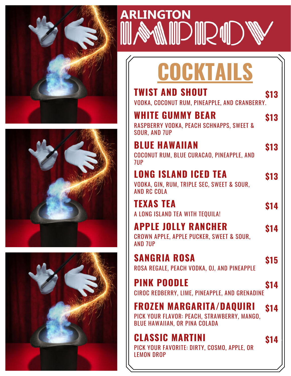







# **COCKTAILS**

| <b>TWIST AND SHOUT</b><br>VODKA, COCONUT RUM, PINEAPPLE, AND CRANBERRY.                         | \$13 |
|-------------------------------------------------------------------------------------------------|------|
| <b>WHITE GUMMY BEAR</b><br>RASPBERRY VODKA, PEACH SCHNAPPS, SWEET &<br><b>SOUR, AND 7UP</b>     | \$13 |
| <b>BLUE HAWAIIAN</b><br>COCONUT RUM, BLUE CURACAO, PINEAPPLE, AND<br>7UP                        | \$13 |
| <b>LONG ISLAND ICED TEA</b><br>VODKA, GIN, RUM, TRIPLE SEC, SWEET & SOUR,<br><b>AND RC COLA</b> | \$13 |
| <b>TEXAS TEA</b><br>A LONG ISLAND TEA WITH TEQUILA!                                             |      |

#### CROWN APPLE, APPLE PUCKER, SWEET & SOUR, **APPLE JOLLY RANCHER \$14**

AND 7UP

### ROSA REGALE, PEACH VODKA, OJ, AND PINEAPPLE **SANGRIA ROSA \$15**

**PINK POODLE \$14**

CIROC REDBERRY, LIME, PINEAPPLE, AND GRENADINE

PICK YOUR FLAVOR: PEACH, STRAWBERRY, MANGO, BLUE HAWAIIAN, OR PINA COLADA **FROZEN MARGARITA/DAQUIRI \$14**

PICK YOUR FAVORITE: DIRTY, COSMO, APPLE, OR LEMON DROP **CLASSIC MARTINI \$14**